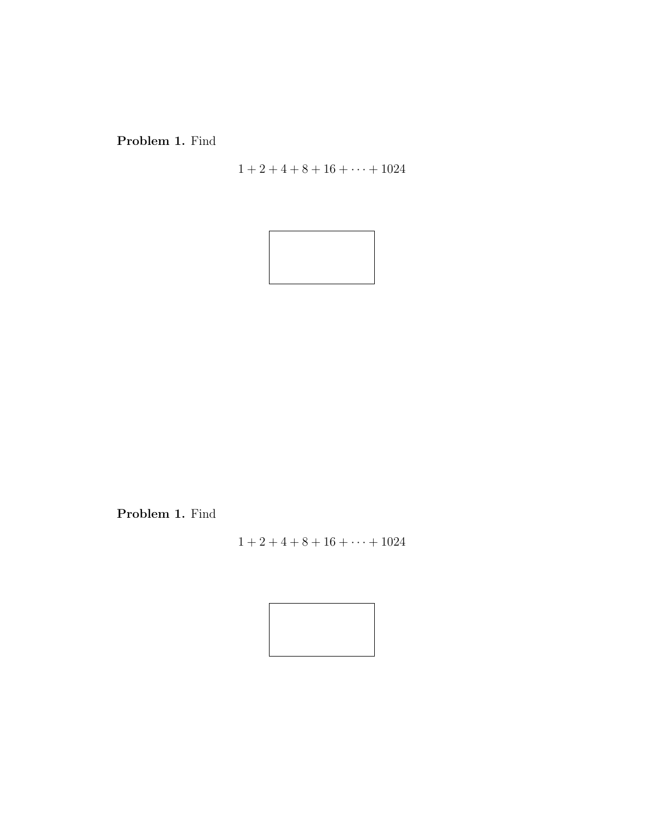Problem 1. Find

 $1 + 2 + 4 + 8 + 16 + \cdots + 1024$ 



Problem 1. Find

 $1 + 2 + 4 + 8 + 16 + \cdots + 1024$ 

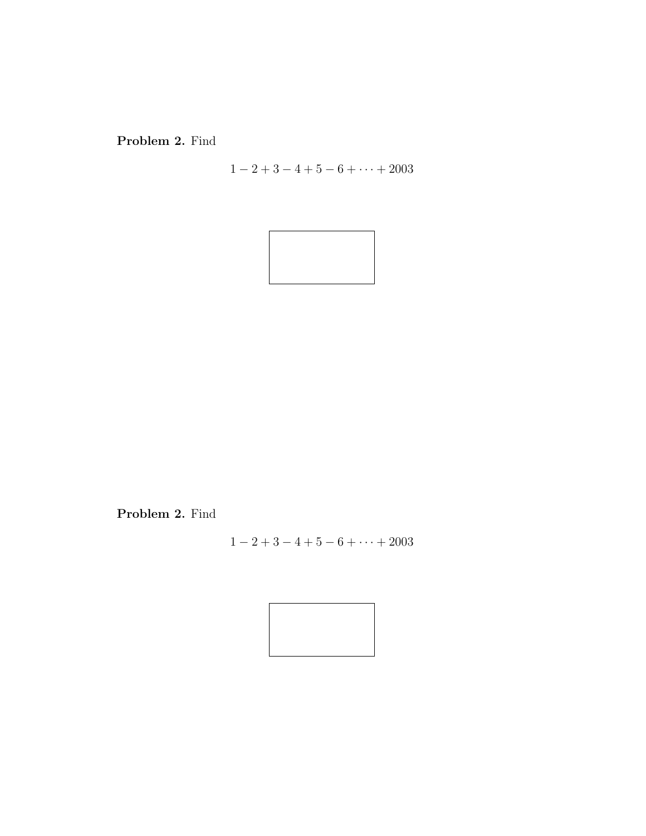Problem 2. Find

 $1 - 2 + 3 - 4 + 5 - 6 + \cdots + 2003$ 



Problem 2. Find

$$
1 - 2 + 3 - 4 + 5 - 6 + \cdots + 2003
$$

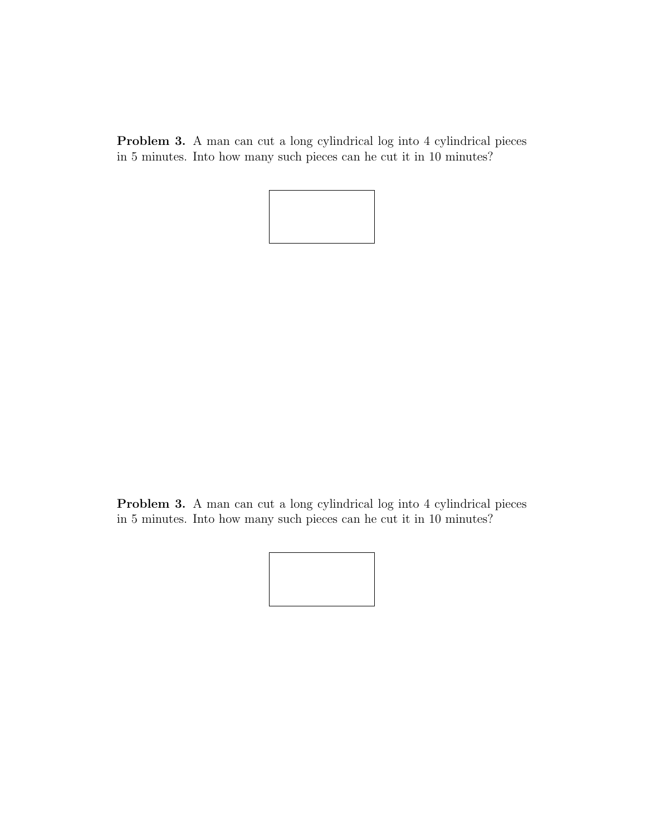Problem 3. A man can cut a long cylindrical log into 4 cylindrical pieces in 5 minutes. Into how many such pieces can he cut it in 10 minutes?



Problem 3. A man can cut a long cylindrical log into 4 cylindrical pieces in 5 minutes. Into how many such pieces can he cut it in 10 minutes?

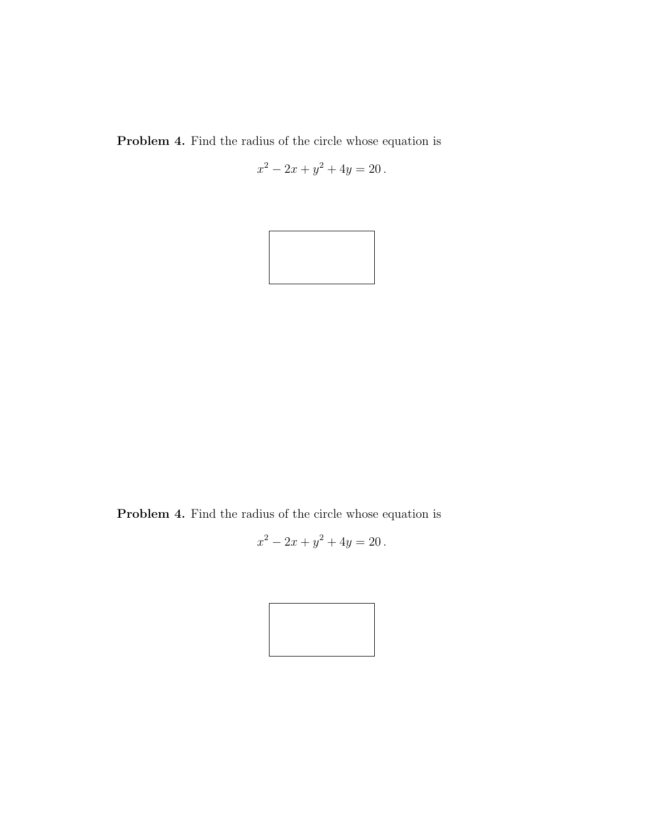Problem 4. Find the radius of the circle whose equation is

$$
x^2 - 2x + y^2 + 4y = 20.
$$



Problem 4. Find the radius of the circle whose equation is

$$
x^2 - 2x + y^2 + 4y = 20.
$$

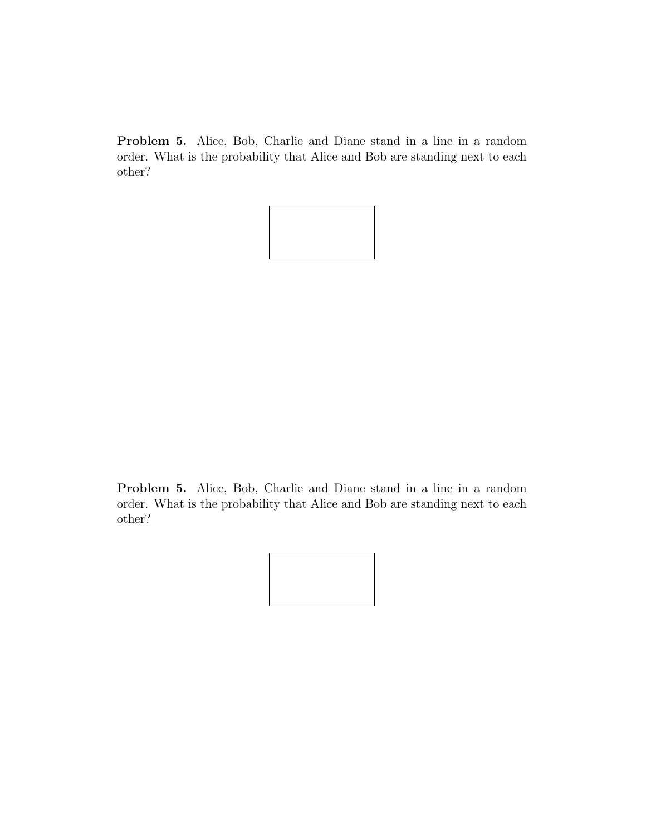Problem 5. Alice, Bob, Charlie and Diane stand in a line in a random order. What is the probability that Alice and Bob are standing next to each other?



Problem 5. Alice, Bob, Charlie and Diane stand in a line in a random order. What is the probability that Alice and Bob are standing next to each other?

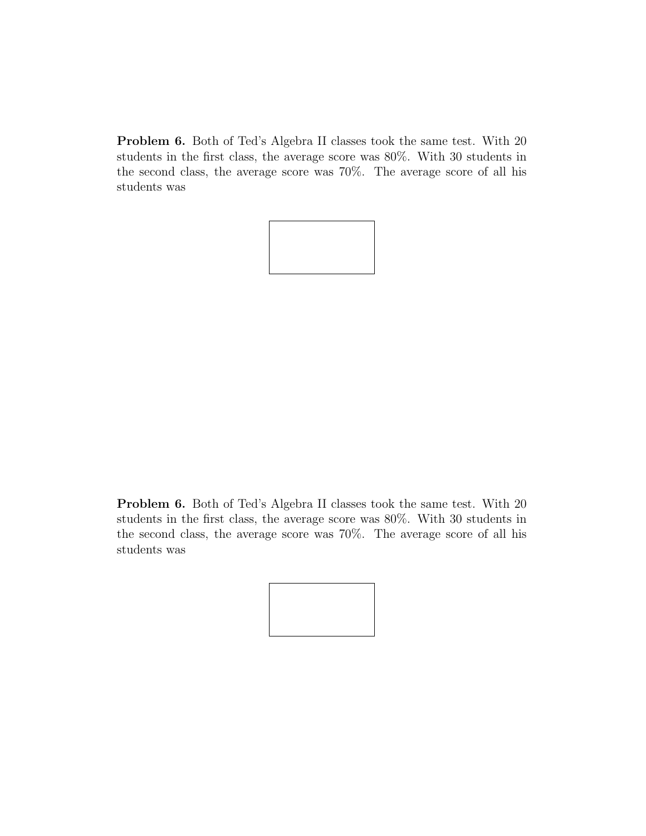Problem 6. Both of Ted's Algebra II classes took the same test. With 20 students in the first class, the average score was 80%. With 30 students in the second class, the average score was 70%. The average score of all his students was



Problem 6. Both of Ted's Algebra II classes took the same test. With 20 students in the first class, the average score was 80%. With 30 students in the second class, the average score was 70%. The average score of all his students was

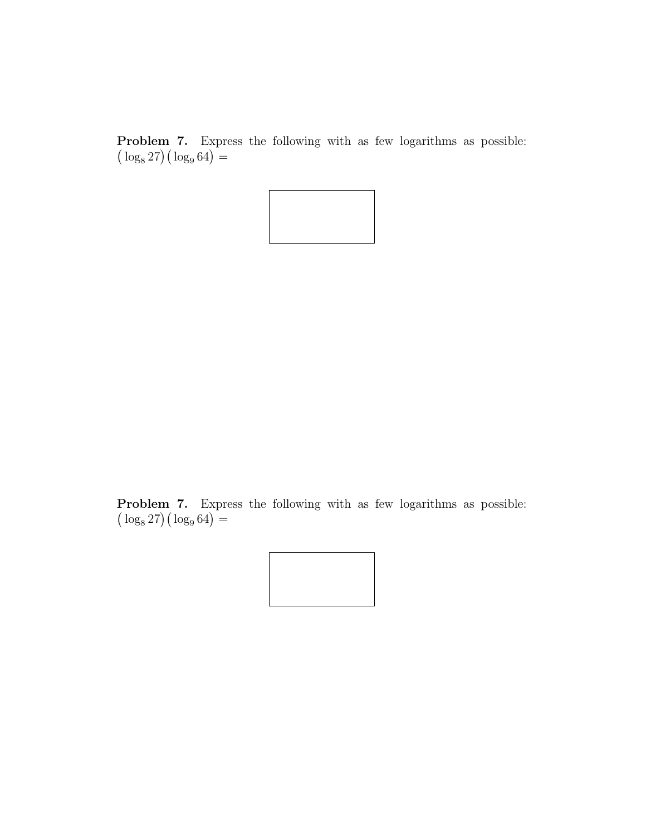**Problem 7.** Express the following with as few logarithms as possible: **Toblem** 7. Express  $\log_8 27$  ( $\log_9 64$ ) =



**Problem 7.** Express the following with as few logarithms as possible: **Toplem** 7. Expr<br> $\log_8 27$  ( $\log_9 64$ ) =

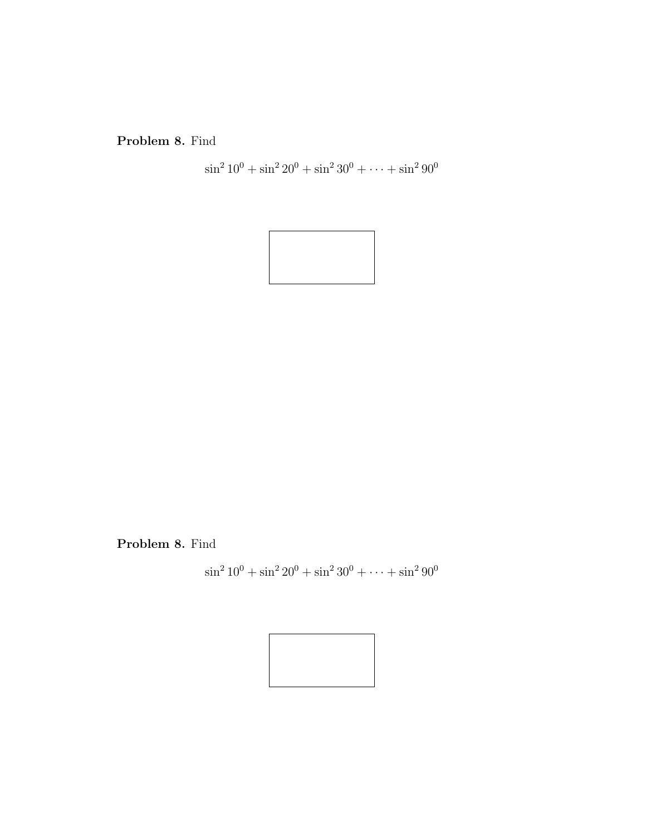Problem 8. Find

$$
\sin^2 10^0 + \sin^2 20^0 + \sin^2 30^0 + \dots + \sin^2 90^0
$$



Problem 8. Find

$$
\sin^2 10^0 + \sin^2 20^0 + \sin^2 30^0 + \dots + \sin^2 90^0
$$

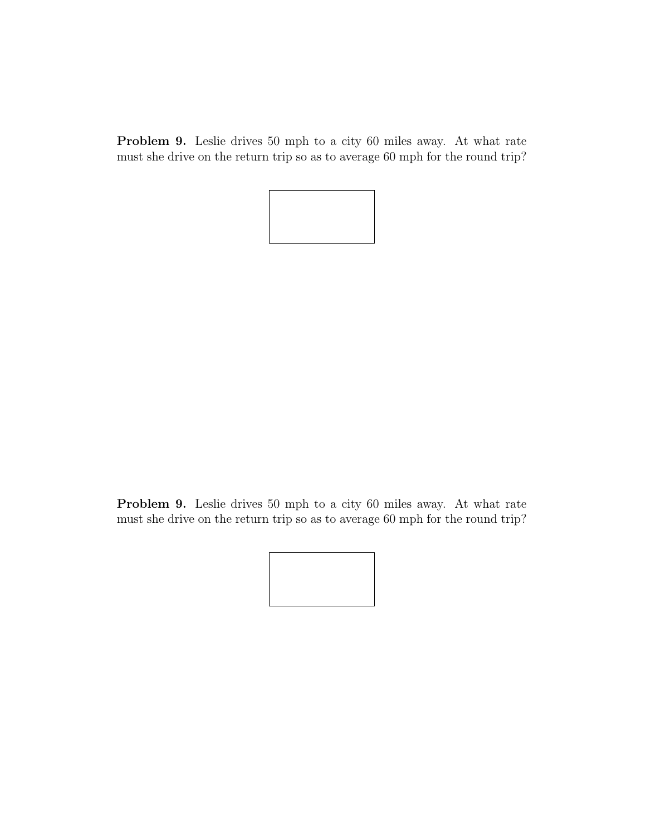Problem 9. Leslie drives 50 mph to a city 60 miles away. At what rate must she drive on the return trip so as to average 60 mph for the round trip?



Problem 9. Leslie drives 50 mph to a city 60 miles away. At what rate must she drive on the return trip so as to average 60 mph for the round trip?